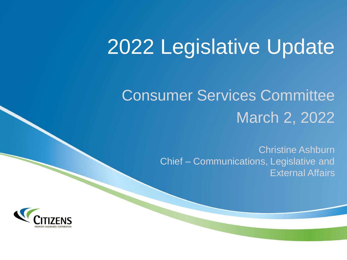# 2022 Legislative Update

## Consumer Services Committee March 2, 2022

Christine Ashburn Chief – Communications, Legislative and External Affairs

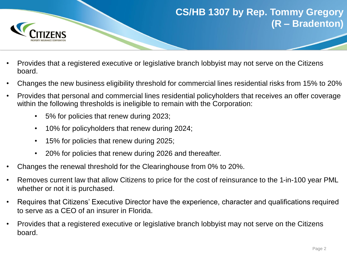

### **CS/HB 1307 by Rep. Tommy Gregory (R – Bradenton)**

- Provides that a registered executive or legislative branch lobbyist may not serve on the Citizens board.
- Changes the new business eligibility threshold for commercial lines residential risks from 15% to 20%
- Provides that personal and commercial lines residential policyholders that receives an offer coverage within the following thresholds is ineligible to remain with the Corporation:
	- 5% for policies that renew during 2023;
	- 10% for policyholders that renew during 2024;
	- 15% for policies that renew during 2025;
	- 20% for policies that renew during 2026 and thereafter.
- Changes the renewal threshold for the Clearinghouse from 0% to 20%.
- Removes current law that allow Citizens to price for the cost of reinsurance to the 1-in-100 year PML whether or not it is purchased.
- Requires that Citizens' Executive Director have the experience, character and qualifications required to serve as a CEO of an insurer in Florida.
- Provides that a registered executive or legislative branch lobbyist may not serve on the Citizens board.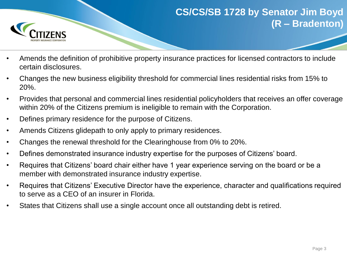

#### **CS/CS/SB 1728 by Senator Jim Boyd (R – Bradenton)**

- Amends the definition of prohibitive property insurance practices for licensed contractors to include certain disclosures.
- Changes the new business eligibility threshold for commercial lines residential risks from 15% to 20%.
- Provides that personal and commercial lines residential policyholders that receives an offer coverage within 20% of the Citizens premium is ineligible to remain with the Corporation.
- Defines primary residence for the purpose of Citizens.
- Amends Citizens glidepath to only apply to primary residences.
- Changes the renewal threshold for the Clearinghouse from 0% to 20%.
- Defines demonstrated insurance industry expertise for the purposes of Citizens' board.
- Requires that Citizens' board chair either have 1 year experience serving on the board or be a member with demonstrated insurance industry expertise.
- Requires that Citizens' Executive Director have the experience, character and qualifications required to serve as a CEO of an insurer in Florida.
- States that Citizens shall use a single account once all outstanding debt is retired.